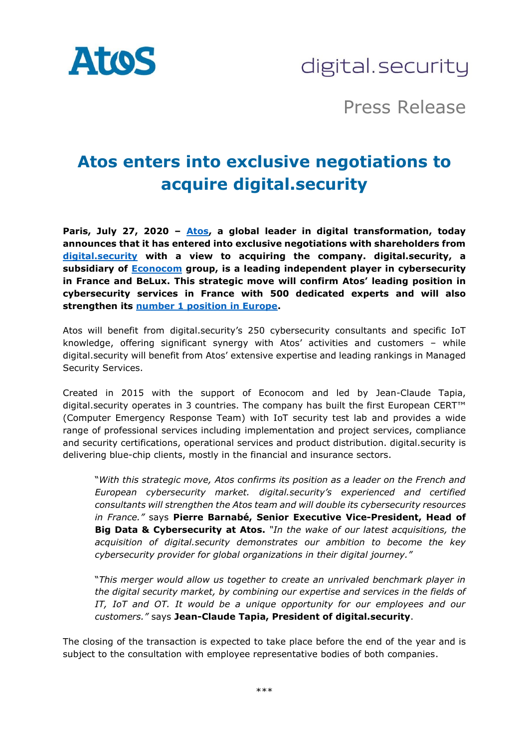

digital.security

Press Release

# **Atos enters into exclusive negotiations to acquire digital.security**

**Paris, July 27, 2020 – [Atos,](https://www.atos.net/) a global leader in digital transformation, today announces that it has entered into exclusive negotiations with shareholders from [digital.security](https://www.digital.security/) with a view to acquiring the company. digital.security, a subsidiary of [Econocom](https://www.econocom.com/) group, is a leading independent player in cybersecurity in France and BeLux. This strategic move will confirm Atos' leading position in cybersecurity services in France with 500 dedicated experts and will also strengthen its [number 1 position in Europe.](https://atos.net/en/2020/press-release_2020_06_23/atos-ranked-n3-worldwide-in-managed-security-services-by-revenue-by-gartner-for-second-year-in-a-row)**

Atos will benefit from digital.security's 250 cybersecurity consultants and specific IoT knowledge, offering significant synergy with Atos' activities and customers – while digital.security will benefit from Atos' extensive expertise and leading rankings in Managed Security Services.

Created in 2015 with the support of Econocom and led by Jean-Claude Tapia, digital.security operates in 3 countries. The company has built the first European CERT™ (Computer Emergency Response Team) with IoT security test lab and provides a wide range of professional services including implementation and project services, compliance and security certifications, operational services and product distribution. digital.security is delivering blue-chip clients, mostly in the financial and insurance sectors.

"*With this strategic move, Atos confirms its position as a leader on the French and European cybersecurity market. digital.security's experienced and certified consultants will strengthen the Atos team and will double its cybersecurity resources in France."* says **Pierre Barnabé, Senior Executive Vice-President, Head of Big Data & Cybersecurity at Atos.** *"In the wake of our latest acquisitions, the acquisition of digital.security demonstrates our ambition to become the key cybersecurity provider for global organizations in their digital journey."*

"*This merger would allow us together to create an unrivaled benchmark player in the digital security market, by combining our expertise and services in the fields of IT, IoT and OT. It would be a unique opportunity for our employees and our customers."* says **Jean-Claude Tapia, President of digital.security**.

The closing of the transaction is expected to take place before the end of the year and is subject to the consultation with employee representative bodies of both companies.